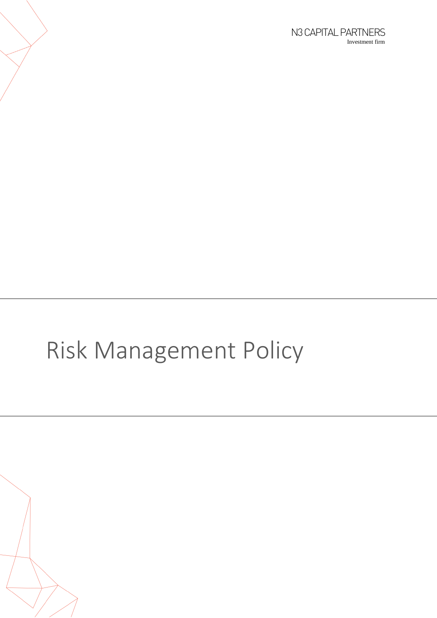# Risk Management Policy

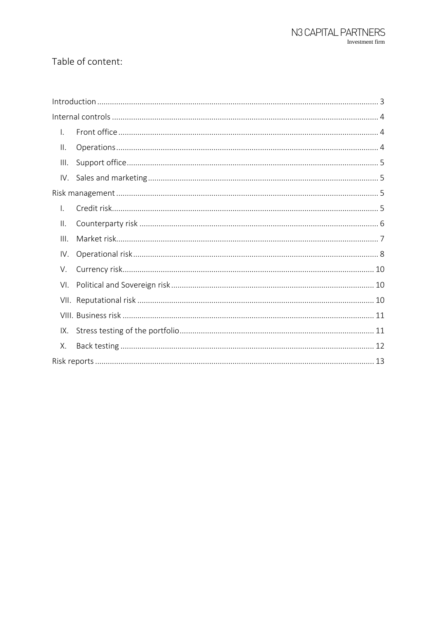#### Table of content:

| Ι.             |  |
|----------------|--|
| Ⅱ.             |  |
| III.           |  |
| IV.            |  |
|                |  |
| $\mathsf{I}$ . |  |
| $\mathbb{I}$ . |  |
| III.           |  |
| IV.            |  |
| V.             |  |
| VI.            |  |
| VII.           |  |
|                |  |
| IX.            |  |
| Χ.             |  |
|                |  |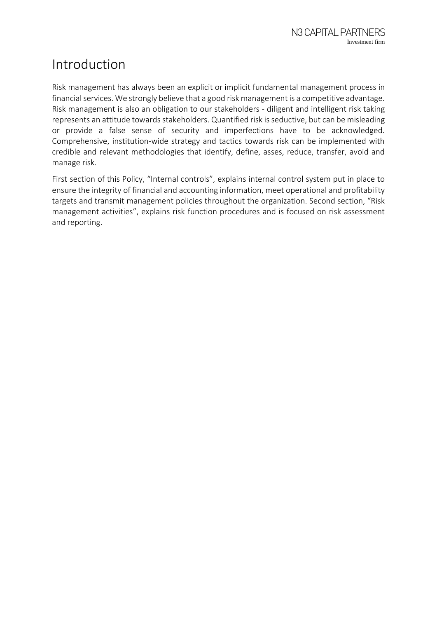# <span id="page-2-0"></span>Introduction

Risk management has always been an explicit or implicit fundamental management process in financial services. We strongly believe that a good risk management is a competitive advantage. Risk management is also an obligation to our stakeholders - diligent and intelligent risk taking represents an attitude towards stakeholders. Quantified risk is seductive, but can be misleading or provide a false sense of security and imperfections have to be acknowledged. Comprehensive, institution-wide strategy and tactics towards risk can be implemented with credible and relevant methodologies that identify, define, asses, reduce, transfer, avoid and manage risk.

First section of this Policy, "Internal controls", explains internal control system put in place to ensure the integrity of financial and accounting information, meet operational and profitability targets and transmit management policies throughout the organization. Second section, "Risk management activities", explains risk function procedures and is focused on risk assessment and reporting.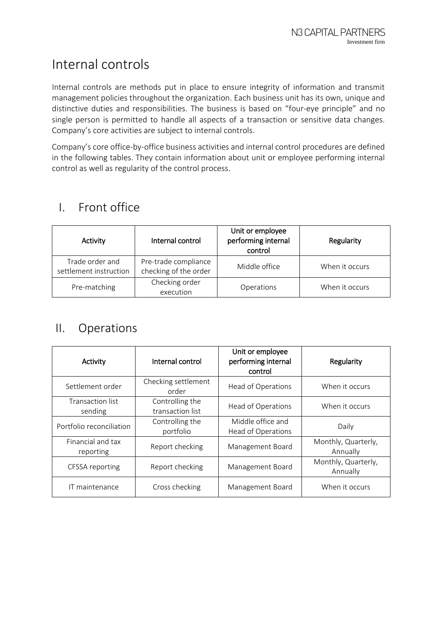# <span id="page-3-0"></span>Internal controls

Internal controls are methods put in place to ensure integrity of information and transmit management policies throughout the organization. Each business unit has its own, unique and distinctive duties and responsibilities. The business is based on "four-eye principle" and no single person is permitted to handle all aspects of a transaction or sensitive data changes. Company's core activities are subject to internal controls.

Company's core office-by-office business activities and internal control procedures are defined in the following tables. They contain information about unit or employee performing internal control as well as regularity of the control process.

| Activity                                  | Internal control                              | Unit or employee<br>performing internal<br>control | Regularity     |
|-------------------------------------------|-----------------------------------------------|----------------------------------------------------|----------------|
| Trade order and<br>settlement instruction | Pre-trade compliance<br>checking of the order | Middle office                                      | When it occurs |
| Pre-matching                              | Checking order<br>execution                   | Operations                                         | When it occurs |

#### <span id="page-3-1"></span>I. Front office

#### <span id="page-3-2"></span>II. Operations

| Activity                       | Internal control                    | Unit or employee<br>performing internal<br>control | Regularity                      |
|--------------------------------|-------------------------------------|----------------------------------------------------|---------------------------------|
| Settlement order               | Checking settlement<br>order        | Head of Operations                                 | When it occurs                  |
| Transaction list<br>sending    | Controlling the<br>transaction list | Head of Operations                                 | When it occurs                  |
| Portfolio reconciliation       | Controlling the<br>portfolio        | Middle office and<br>Head of Operations            | Daily                           |
| Financial and tax<br>reporting | Report checking                     | Management Board                                   | Monthly, Quarterly,<br>Annually |
| CFSSA reporting                | Report checking                     | Management Board                                   | Monthly, Quarterly,<br>Annually |
| IT maintenance                 | Cross checking                      | Management Board                                   | When it occurs                  |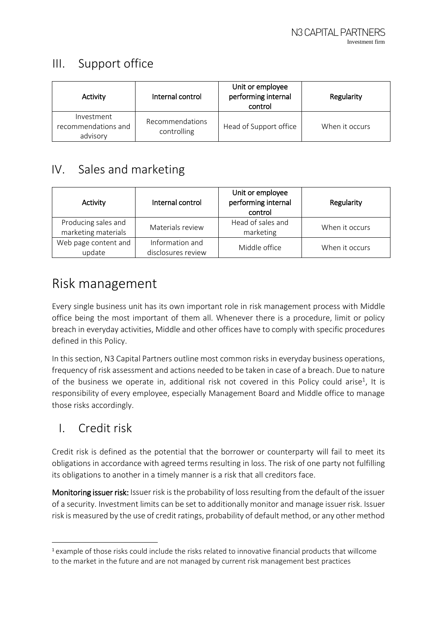#### <span id="page-4-0"></span>III. Support office

| Activity                                      | Internal control               | Unit or employee<br>performing internal<br>control | Regularity     |
|-----------------------------------------------|--------------------------------|----------------------------------------------------|----------------|
| Investment<br>recommendations and<br>advisory | Recommendations<br>controlling | Head of Support office                             | When it occurs |

#### <span id="page-4-1"></span>IV. Sales and marketing

| Activity             | Internal control   | Unit or employee<br>performing internal<br>control | Regularity     |  |
|----------------------|--------------------|----------------------------------------------------|----------------|--|
| Producing sales and  | Materials review   | Head of sales and                                  | When it occurs |  |
| marketing materials  |                    | marketing                                          |                |  |
| Web page content and | Information and    |                                                    | When it occurs |  |
| update               | disclosures review | Middle office                                      |                |  |

## <span id="page-4-2"></span>Risk management

Every single business unit has its own important role in risk management process with Middle office being the most important of them all. Whenever there is a procedure, limit or policy breach in everyday activities, Middle and other offices have to comply with specific procedures defined in this Policy.

In this section, N3 Capital Partners outline most common risks in everyday business operations, frequency of risk assessment and actions needed to be taken in case of a breach. Due to nature of the business we operate in, additional risk not covered in this Policy could arise<sup>1</sup>, It is responsibility of every employee, especially Management Board and Middle office to manage those risks accordingly.

## <span id="page-4-3"></span>I. Credit risk

**.** 

Credit risk is defined as the potential that the borrower or counterparty will fail to meet its obligations in accordance with agreed terms resulting in loss. The risk of one party not fulfilling its obligations to another in a timely manner is a risk that all creditors face.

Monitoring issuer risk: Issuer risk is the probability of loss resulting from the default of the issuer of a security. Investment limits can be set to additionally monitor and manage issuer risk. Issuer risk is measured by the use of credit ratings, probability of default method, or any other method

<sup>1</sup> example of those risks could include the risks related to innovative financial products that willcome to the market in the future and are not managed by current risk management best practices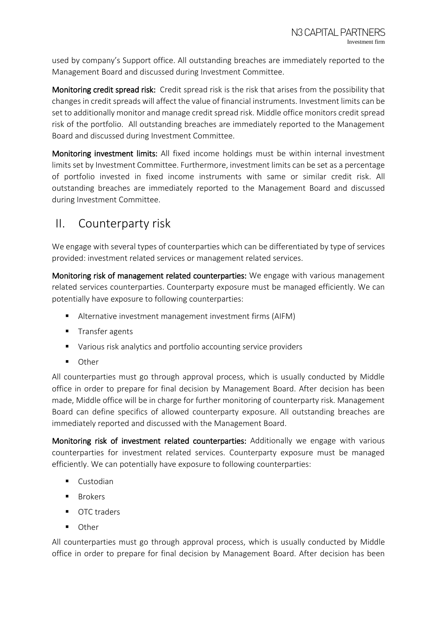used by company's Support office. All outstanding breaches are immediately reported to the Management Board and discussed during Investment Committee.

Monitoring credit spread risk: Credit spread risk is the risk that arises from the possibility that changes in credit spreads will affect the value of financial instruments. Investment limits can be set to additionally monitor and manage credit spread risk. Middle office monitors credit spread risk of the portfolio. All outstanding breaches are immediately reported to the Management Board and discussed during Investment Committee.

Monitoring investment limits: All fixed income holdings must be within internal investment limits set by Investment Committee. Furthermore, investment limits can be set as a percentage of portfolio invested in fixed income instruments with same or similar credit risk. All outstanding breaches are immediately reported to the Management Board and discussed during Investment Committee.

#### <span id="page-5-0"></span>II. Counterparty risk

We engage with several types of counterparties which can be differentiated by type of services provided: investment related services or management related services.

Monitoring risk of management related counterparties: We engage with various management related services counterparties. Counterparty exposure must be managed efficiently. We can potentially have exposure to following counterparties:

- Alternative investment management investment firms (AIFM)
- **Transfer agents**
- Various risk analytics and portfolio accounting service providers
- Other

All counterparties must go through approval process, which is usually conducted by Middle office in order to prepare for final decision by Management Board. After decision has been made, Middle office will be in charge for further monitoring of counterparty risk. Management Board can define specifics of allowed counterparty exposure. All outstanding breaches are immediately reported and discussed with the Management Board.

Monitoring risk of investment related counterparties: Additionally we engage with various counterparties for investment related services. Counterparty exposure must be managed efficiently. We can potentially have exposure to following counterparties:

- **Custodian**
- $B^{\text{r}}$
- OTC traders
- **Other**

All counterparties must go through approval process, which is usually conducted by Middle office in order to prepare for final decision by Management Board. After decision has been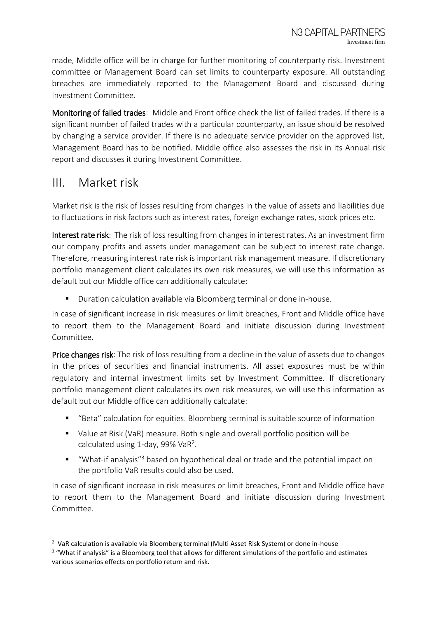made, Middle office will be in charge for further monitoring of counterparty risk. Investment committee or Management Board can set limits to counterparty exposure. All outstanding breaches are immediately reported to the Management Board and discussed during Investment Committee.

Monitoring of failed trades: Middle and Front office check the list of failed trades. If there is a significant number of failed trades with a particular counterparty, an issue should be resolved by changing a service provider. If there is no adequate service provider on the approved list, Management Board has to be notified. Middle office also assesses the risk in its Annual risk report and discusses it during Investment Committee.

#### <span id="page-6-0"></span>III. Market risk

**.** 

Market risk is the risk of losses resulting from changes in the value of assets and liabilities due to fluctuations in risk factors such as interest rates, foreign exchange rates, stock prices etc.

Interest rate risk: The risk of loss resulting from changes in interest rates. As an investment firm our company profits and assets under management can be subject to interest rate change. Therefore, measuring interest rate risk is important risk management measure. If discretionary portfolio management client calculates its own risk measures, we will use this information as default but our Middle office can additionally calculate:

**Duration calculation available via Bloomberg terminal or done in-house.** 

In case of significant increase in risk measures or limit breaches, Front and Middle office have to report them to the Management Board and initiate discussion during Investment Committee.

Price changes risk: The risk of loss resulting from a decline in the value of assets due to changes in the prices of securities and financial instruments. All asset exposures must be within regulatory and internal investment limits set by Investment Committee. If discretionary portfolio management client calculates its own risk measures, we will use this information as default but our Middle office can additionally calculate:

- "Beta" calculation for equities. Bloomberg terminal is suitable source of information
- Value at Risk (VaR) measure. Both single and overall portfolio position will be calculated using 1-day, 99% VaR<sup>2</sup>.
- "What-if analysis"<sup>3</sup> based on hypothetical deal or trade and the potential impact on the portfolio VaR results could also be used.

In case of significant increase in risk measures or limit breaches, Front and Middle office have to report them to the Management Board and initiate discussion during Investment Committee.

 $2\,$  VaR calculation is available via Bloomberg terminal (Multi Asset Risk System) or done in-house

<sup>&</sup>lt;sup>3</sup> "What if analysis" is a Bloomberg tool that allows for different simulations of the portfolio and estimates various scenarios effects on portfolio return and risk.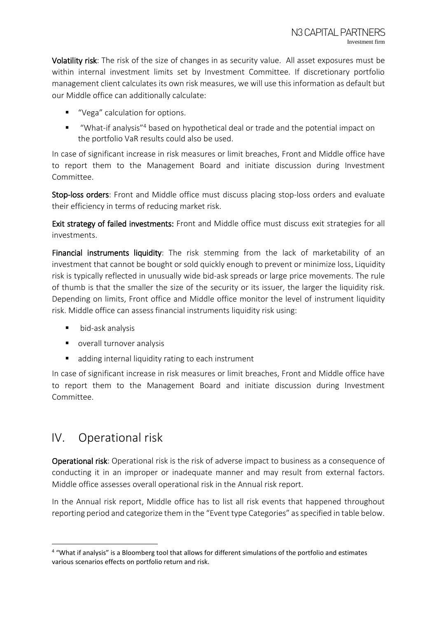Volatility risk: The risk of the size of changes in as security value. All asset exposures must be within internal investment limits set by Investment Committee. If discretionary portfolio management client calculates its own risk measures, we will use this information as default but our Middle office can additionally calculate:

- "Vega" calculation for options.
- "What-if analysis"<sup>4</sup> based on hypothetical deal or trade and the potential impact on the portfolio VaR results could also be used.

In case of significant increase in risk measures or limit breaches, Front and Middle office have to report them to the Management Board and initiate discussion during Investment Committee.

Stop-loss orders: Front and Middle office must discuss placing stop-loss orders and evaluate their efficiency in terms of reducing market risk.

Exit strategy of failed investments: Front and Middle office must discuss exit strategies for all investments.

Financial instruments liquidity: The risk stemming from the lack of marketability of an investment that cannot be bought or sold quickly enough to prevent or minimize loss. Liquidity risk is typically reflected in unusually wide bid-ask spreads or large price movements. The rule of thumb is that the smaller the size of the security or its issuer, the larger the liquidity risk. Depending on limits, Front office and Middle office monitor the level of instrument liquidity risk. Middle office can assess financial instruments liquidity risk using:

- bid-ask analysis
- overall turnover analysis
- adding internal liquidity rating to each instrument

In case of significant increase in risk measures or limit breaches, Front and Middle office have to report them to the Management Board and initiate discussion during Investment Committee.

#### <span id="page-7-0"></span>IV. Operational risk

1

Operational risk: Operational risk is the risk of adverse impact to business as a consequence of conducting it in an improper or inadequate manner and may result from external factors. Middle office assesses overall operational risk in the Annual risk report.

In the Annual risk report, Middle office has to list all risk events that happened throughout reporting period and categorize them in the "Event type Categories" as specified in table below.

<sup>4</sup> "What if analysis" is a Bloomberg tool that allows for different simulations of the portfolio and estimates various scenarios effects on portfolio return and risk.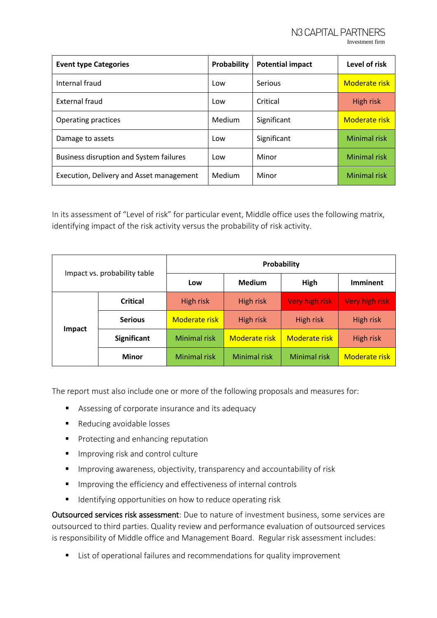| <b>Event type Categories</b>                   | Probability | <b>Potential impact</b> | Level of risk        |
|------------------------------------------------|-------------|-------------------------|----------------------|
| Internal fraud                                 | Low         | Serious                 | Moderate risk        |
| External fraud                                 | Low         | Critical                | <b>High risk</b>     |
| Operating practices                            | Medium      | Significant             | <b>Moderate risk</b> |
| Damage to assets                               | Low         | Significant             | <b>Minimal risk</b>  |
| <b>Business disruption and System failures</b> | Low         | Minor                   | <b>Minimal risk</b>  |
| Execution, Delivery and Asset management       | Medium      | Minor                   | <b>Minimal risk</b>  |

In its assessment of "Level of risk" for particular event, Middle office uses the following matrix, identifying impact of the risk activity versus the probability of risk activity.

| Impact vs. probability table |                 | Probability         |                      |                      |                      |
|------------------------------|-----------------|---------------------|----------------------|----------------------|----------------------|
|                              |                 | Low                 | <b>Medium</b>        | High                 | <b>Imminent</b>      |
|                              | <b>Critical</b> | High risk           | High risk            | Very high risk       | Very high risk       |
|                              | <b>Serious</b>  | Moderate risk       | High risk            | High risk            | High risk            |
| Impact                       | Significant     | <b>Minimal risk</b> | <b>Moderate risk</b> | <b>Moderate risk</b> | <b>High risk</b>     |
|                              | Minor           | <b>Minimal risk</b> | Minimal risk         | <b>Minimal risk</b>  | <b>Moderate risk</b> |

The report must also include one or more of the following proposals and measures for:

- Assessing of corporate insurance and its adequacy
- Reducing avoidable losses
- **Protecting and enhancing reputation**
- **IMPROVING RIGHT META** Improving risk and control culture
- Improving awareness, objectivity, transparency and accountability of risk
- **IMPROVING THE EFFE** Improving the efficiency and effectiveness of internal controls
- **If** Identifying opportunities on how to reduce operating risk

Outsourced services risk assessment: Due to nature of investment business, some services are outsourced to third parties. Quality review and performance evaluation of outsourced services is responsibility of Middle office and Management Board. Regular risk assessment includes:

■ List of operational failures and recommendations for quality improvement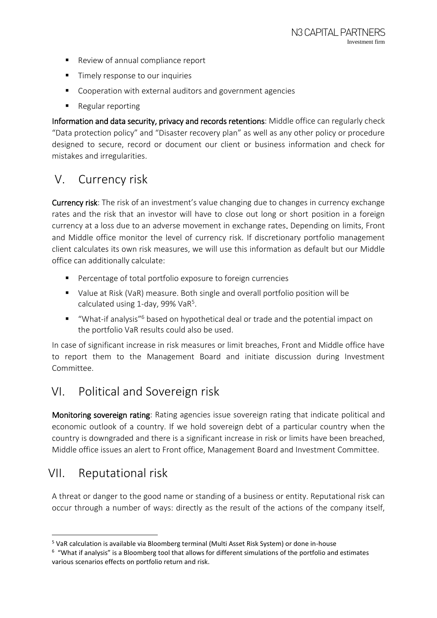- Review of annual compliance report
- **Timely response to our inquiries**
- Cooperation with external auditors and government agencies
- Regular reporting

Information and data security, privacy and records retentions: Middle office can regularly check "Data protection policy" and "Disaster recovery plan" as well as any other policy or procedure designed to secure, record or document our client or business information and check for mistakes and irregularities.

#### <span id="page-9-0"></span>V. Currency risk

Currency risk: The risk of an investment's value changing due to changes in currency exchange rates and the risk that an investor will have to close out long or short position in a foreign currency at a loss due to an adverse movement in exchange rates. Depending on limits, Front and Middle office monitor the level of currency risk. If discretionary portfolio management client calculates its own risk measures, we will use this information as default but our Middle office can additionally calculate:

- **Percentage of total portfolio exposure to foreign currencies**
- Value at Risk (VaR) measure. Both single and overall portfolio position will be calculated using 1-day, 99% VaR<sup>5</sup>.
- "What-if analysis"<sup>6</sup> based on hypothetical deal or trade and the potential impact on the portfolio VaR results could also be used.

In case of significant increase in risk measures or limit breaches, Front and Middle office have to report them to the Management Board and initiate discussion during Investment Committee.

## <span id="page-9-1"></span>VI. Political and Sovereign risk

Monitoring sovereign rating: Rating agencies issue sovereign rating that indicate political and economic outlook of a country. If we hold sovereign debt of a particular country when the country is downgraded and there is a significant increase in risk or limits have been breached, Middle office issues an alert to Front office, Management Board and Investment Committee.

#### <span id="page-9-2"></span>VII. Reputational risk

**.** 

A threat or danger to the good name or standing of a business or entity. Reputational risk can occur through a number of ways: directly as the result of the actions of the company itself,

<sup>5</sup> VaR calculation is available via Bloomberg terminal (Multi Asset Risk System) or done in-house

 $6\,$  "What if analysis" is a Bloomberg tool that allows for different simulations of the portfolio and estimates various scenarios effects on portfolio return and risk.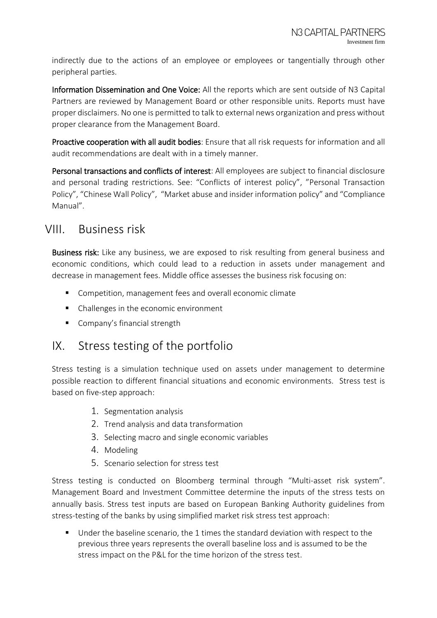indirectly due to the actions of an employee or employees or tangentially through other peripheral parties.

Information Dissemination and One Voice: All the reports which are sent outside of N3 Capital Partners are reviewed by Management Board or other responsible units. Reports must have proper disclaimers. No one is permitted to talk to external news organization and press without proper clearance from the Management Board.

Proactive cooperation with all audit bodies: Ensure that all risk requests for information and all audit recommendations are dealt with in a timely manner.

Personal transactions and conflicts of interest: All employees are subject to financial disclosure and personal trading restrictions. See: "Conflicts of interest policy", "Personal Transaction Policy", "Chinese Wall Policy", "Market abuse and insider information policy" and "Compliance Manual".

#### <span id="page-10-0"></span>VIII. Business risk

Business risk: Like any business, we are exposed to risk resulting from general business and economic conditions, which could lead to a reduction in assets under management and decrease in management fees. Middle office assesses the business risk focusing on:

- Competition, management fees and overall economic climate
- Challenges in the economic environment
- **Company's financial strength**

#### <span id="page-10-1"></span>IX. Stress testing of the portfolio

Stress testing is a simulation technique used on assets under management to determine possible reaction to different financial situations and economic environments. Stress test is based on five-step approach:

- 1. Segmentation analysis
- 2. Trend analysis and data transformation
- 3. Selecting macro and single economic variables
- 4. Modeling
- 5. Scenario selection for stress test

Stress testing is conducted on Bloomberg terminal through "Multi-asset risk system". Management Board and Investment Committee determine the inputs of the stress tests on annually basis. Stress test inputs are based on European Banking Authority guidelines from stress-testing of the banks by using simplified market risk stress test approach:

 Under the baseline scenario, the 1 times the standard deviation with respect to the previous three years represents the overall baseline loss and is assumed to be the stress impact on the P&L for the time horizon of the stress test.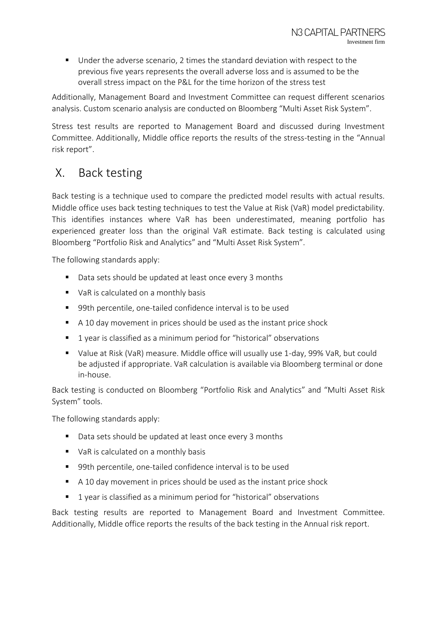Under the adverse scenario, 2 times the standard deviation with respect to the previous five years represents the overall adverse loss and is assumed to be the overall stress impact on the P&L for the time horizon of the stress test

Additionally, Management Board and Investment Committee can request different scenarios analysis. Custom scenario analysis are conducted on Bloomberg "Multi Asset Risk System".

Stress test results are reported to Management Board and discussed during Investment Committee. Additionally, Middle office reports the results of the stress-testing in the "Annual risk report".

#### <span id="page-11-0"></span>X. Back testing

Back testing is a technique used to compare the predicted model results with actual results. Middle office uses back testing techniques to test the Value at Risk (VaR) model predictability. This identifies instances where VaR has been underestimated, meaning portfolio has experienced greater loss than the original VaR estimate. Back testing is calculated using Bloomberg "Portfolio Risk and Analytics" and "Multi Asset Risk System".

The following standards apply:

- Data sets should be updated at least once every 3 months
- VaR is calculated on a monthly basis
- 99th percentile, one-tailed confidence interval is to be used
- A 10 day movement in prices should be used as the instant price shock
- 1 year is classified as a minimum period for "historical" observations
- Value at Risk (VaR) measure. Middle office will usually use 1-day, 99% VaR, but could be adjusted if appropriate. VaR calculation is available via Bloomberg terminal or done in-house.

Back testing is conducted on Bloomberg "Portfolio Risk and Analytics" and "Multi Asset Risk System" tools.

The following standards apply:

- Data sets should be updated at least once every 3 months
- vaR is calculated on a monthly basis
- 99th percentile, one-tailed confidence interval is to be used
- A 10 day movement in prices should be used as the instant price shock
- **1** year is classified as a minimum period for "historical" observations

Back testing results are reported to Management Board and Investment Committee. Additionally, Middle office reports the results of the back testing in the Annual risk report.